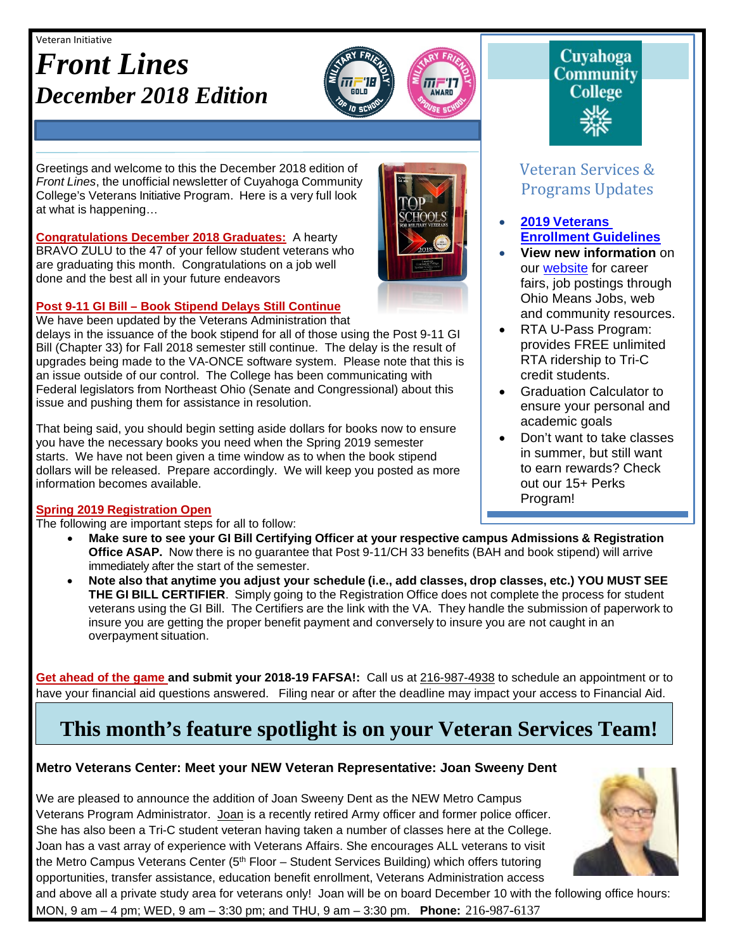#### Veteran Initiative

# *Front Lines December 2018 Edition*



Greetings and welcome to this the December 2018 edition of *Front Lines*, the unofficial newsletter of Cuyahoga Community College's Veterans Initiative Program. Here is a very full look at what is happening…

**Congratulations December 2018 Graduates:** A hearty BRAVO ZULU to the 47 of your fellow student veterans who are graduating this month. Congratulations on a job well done and the best all in your future endeavors

#### **Post 9-11 GI Bill – Book Stipend Delays Still Continue**

We have been updated by the Veterans Administration that delays in the issuance of the book stipend for all of those using the Post 9-11 GI Bill (Chapter 33) for Fall 2018 semester still continue. The delay is the result of upgrades being made to the VA-ONCE software system. Please note that this is an issue outside of our control. The College has been communicating with Federal legislators from Northeast Ohio (Senate and Congressional) about this issue and pushing them for assistance in resolution.

That being said, you should begin setting aside dollars for books now to ensure you have the necessary books you need when the Spring 2019 semester starts. We have not been given a time window as to when the book stipend dollars will be released. Prepare accordingly. We will keep you posted as more information becomes available.

#### **Spring 2019 Registration Open**

The following are important steps for all to follow:

- **Make sure to see your GI Bill Certifying Officer at your respective campus Admissions & Registration Office ASAP.** Now there is no guarantee that Post 9-11/CH 33 benefits (BAH and book stipend) will arrive immediately after the start of the semester.
- **Note also that anytime you adjust your schedule (i.e., add classes, drop classes, etc.) YOU MUST SEE THE GI BILL CERTIFIER**. Simply going to the Registration Office does not complete the process for student veterans using the GI Bill. The Certifiers are the link with the VA. They handle the submission of paperwork to insure you are getting the proper benefit payment and conversely to insure you are not caught in an overpayment situation.

**Get ahead of the game and submit your 2018-19 FAFSA!:** Call us at 216-987-4938 to schedule an appointment or to have your financial aid questions answered. Filing near or after the deadline may impact your access to Financial Aid.

# **This month's feature spotlight is on your Veteran Services Team!**

and above all a private study area for veterans only! Joan will be on board December 10 with the following office hours:

#### **Metro Veterans Center: Meet your NEW Veteran Representative: Joan Sweeny Dent**

We are pleased to announce the addition of Joan Sweeny Dent as the NEW Metro Campus Veterans Program Administrator. Joan is a recently retired Army officer and former police officer. She has also been a Tri-C student veteran having taken a number of classes here at the College. Joan has a vast array of experience with Veterans Affairs. She encourages ALL veterans to visit the Metro Campus Veterans Center (5<sup>th</sup> Floor – Student Services Building) which offers tutoring opportunities, transfer assistance, education benefit enrollment, Veterans Administration access

MON, 9 am – 4 pm; WED, 9 am – 3:30 pm; and THU, 9 am – 3:30 pm. **Phone:** 216-987-6137

Veteran Services & Programs Updates

- **2019 [Veterans](http://www.tri-c.edu/veterans/documents/veterans-student-veteran-guide-flyer-2017.pdf) [Enrollment](http://www.tri-c.edu/veterans/documents/veterans-student-veteran-guide-flyer-2017.pdf) Guidelines**
- **View new information** on our [website](http://www.tri-c.edu/veterans/) for career fairs, job postings through Ohio Means Jobs, web and community resources.
- RTA U-Pass Program: provides FREE unlimited RTA ridership to Tri-C credit students.
- Graduation Calculator to ensure your personal and academic goals
- Don't want to take classes in summer, but still want to earn rewards? Check out our 15+ Perks Program!

•



**Cuyahoga Community College**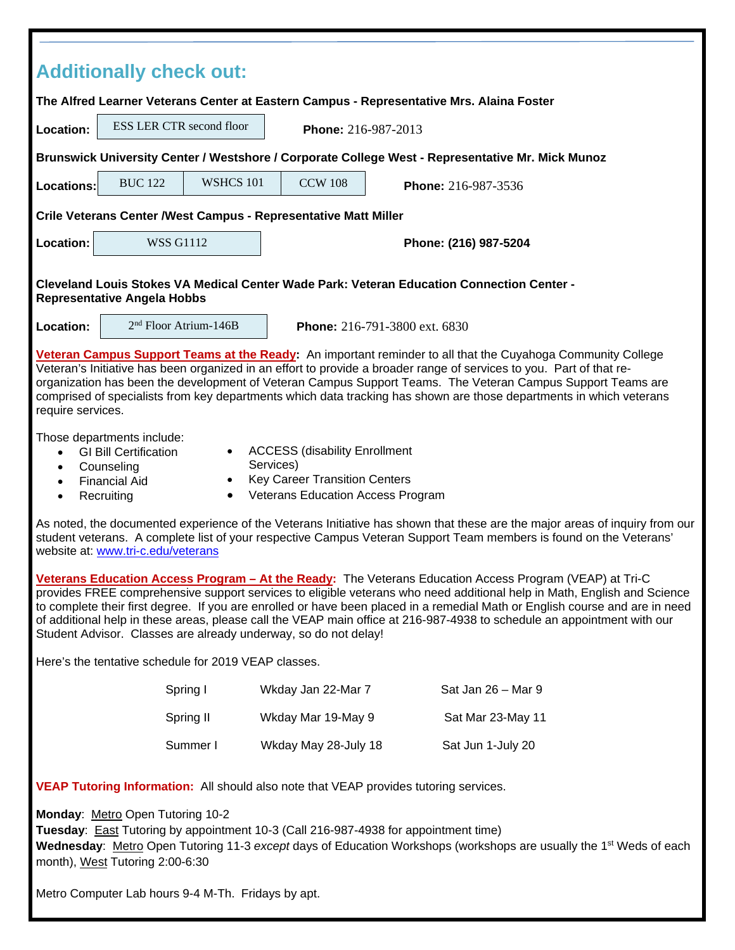| <b>Additionally check out:</b>                                                                                                                                                                                                                                                                                                                                                                                                                                                                                                                                   |                                                                    |           |                       |                     |
|------------------------------------------------------------------------------------------------------------------------------------------------------------------------------------------------------------------------------------------------------------------------------------------------------------------------------------------------------------------------------------------------------------------------------------------------------------------------------------------------------------------------------------------------------------------|--------------------------------------------------------------------|-----------|-----------------------|---------------------|
| The Alfred Learner Veterans Center at Eastern Campus - Representative Mrs. Alaina Foster                                                                                                                                                                                                                                                                                                                                                                                                                                                                         |                                                                    |           |                       |                     |
| Location:                                                                                                                                                                                                                                                                                                                                                                                                                                                                                                                                                        | ESS LER CTR second floor                                           |           | Phone: 216-987-2013   |                     |
| Brunswick University Center / Westshore / Corporate College West - Representative Mr. Mick Munoz                                                                                                                                                                                                                                                                                                                                                                                                                                                                 |                                                                    |           |                       |                     |
| <b>Locations:</b>                                                                                                                                                                                                                                                                                                                                                                                                                                                                                                                                                | <b>BUC 122</b>                                                     | WSHCS 101 | <b>CCW 108</b>        | Phone: 216-987-3536 |
| Crile Veterans Center / West Campus - Representative Matt Miller                                                                                                                                                                                                                                                                                                                                                                                                                                                                                                 |                                                                    |           |                       |                     |
| Location:                                                                                                                                                                                                                                                                                                                                                                                                                                                                                                                                                        | <b>WSS G1112</b>                                                   |           | Phone: (216) 987-5204 |                     |
| Cleveland Louis Stokes VA Medical Center Wade Park: Veteran Education Connection Center -<br><b>Representative Angela Hobbs</b>                                                                                                                                                                                                                                                                                                                                                                                                                                  |                                                                    |           |                       |                     |
| Location:                                                                                                                                                                                                                                                                                                                                                                                                                                                                                                                                                        | 2 <sup>nd</sup> Floor Atrium-146B<br>Phone: 216-791-3800 ext. 6830 |           |                       |                     |
| Veteran Campus Support Teams at the Ready: An important reminder to all that the Cuyahoga Community College<br>Veteran's Initiative has been organized in an effort to provide a broader range of services to you. Part of that re-<br>organization has been the development of Veteran Campus Support Teams. The Veteran Campus Support Teams are<br>comprised of specialists from key departments which data tracking has shown are those departments in which veterans<br>require services.                                                                   |                                                                    |           |                       |                     |
| Those departments include:<br><b>ACCESS (disability Enrollment</b><br><b>GI Bill Certification</b><br>$\bullet$<br>Services)<br>Counseling<br>$\bullet$<br><b>Key Career Transition Centers</b><br>$\bullet$<br><b>Financial Aid</b><br>$\bullet$<br><b>Veterans Education Access Program</b><br>Recruiting<br>$\bullet$<br>$\bullet$                                                                                                                                                                                                                            |                                                                    |           |                       |                     |
| As noted, the documented experience of the Veterans Initiative has shown that these are the major areas of inquiry from our<br>student veterans. A complete list of your respective Campus Veteran Support Team members is found on the Veterans'<br>website at: www.tri-c.edu/veterans                                                                                                                                                                                                                                                                          |                                                                    |           |                       |                     |
| Veterans Education Access Program - At the Ready: The Veterans Education Access Program (VEAP) at Tri-C<br>provides FREE comprehensive support services to eligible veterans who need additional help in Math, English and Science<br>to complete their first degree. If you are enrolled or have been placed in a remedial Math or English course and are in need<br>of additional help in these areas, please call the VEAP main office at 216-987-4938 to schedule an appointment with our<br>Student Advisor. Classes are already underway, so do not delay! |                                                                    |           |                       |                     |
| Here's the tentative schedule for 2019 VEAP classes.                                                                                                                                                                                                                                                                                                                                                                                                                                                                                                             |                                                                    |           |                       |                     |
|                                                                                                                                                                                                                                                                                                                                                                                                                                                                                                                                                                  |                                                                    | Spring I  | Wkday Jan 22-Mar 7    | Sat Jan 26 - Mar 9  |
|                                                                                                                                                                                                                                                                                                                                                                                                                                                                                                                                                                  |                                                                    | Spring II | Wkday Mar 19-May 9    | Sat Mar 23-May 11   |
|                                                                                                                                                                                                                                                                                                                                                                                                                                                                                                                                                                  |                                                                    | Summer I  | Wkday May 28-July 18  | Sat Jun 1-July 20   |
| <b>VEAP Tutoring Information:</b> All should also note that VEAP provides tutoring services.                                                                                                                                                                                                                                                                                                                                                                                                                                                                     |                                                                    |           |                       |                     |
| Monday: Metro Open Tutoring 10-2<br>Tuesday: East Tutoring by appointment 10-3 (Call 216-987-4938 for appointment time)<br>Wednesday: Metro Open Tutoring 11-3 except days of Education Workshops (workshops are usually the 1 <sup>st</sup> Weds of each<br>month), West Tutoring 2:00-6:30                                                                                                                                                                                                                                                                     |                                                                    |           |                       |                     |
| Metro Computer Lab hours 9-4 M-Th. Fridays by apt.                                                                                                                                                                                                                                                                                                                                                                                                                                                                                                               |                                                                    |           |                       |                     |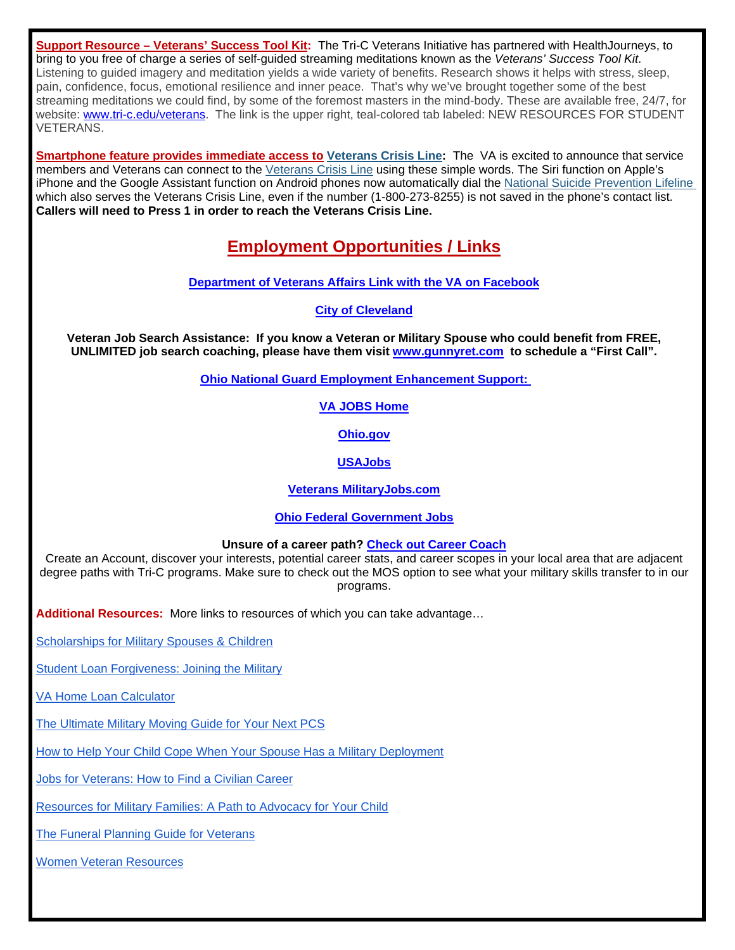**Support Resource – Veterans' Success Tool Kit:** The Tri-C Veterans Initiative has partnered with HealthJourneys, to bring to you free of charge a series of self-guided streaming meditations known as the *Veterans' Success Tool Kit*. Listening to guided imagery and meditation yields a wide variety of benefits. Research shows it helps with stress, sleep, pain, confidence, focus, emotional resilience and inner peace. That's why we've brought together some of the best streaming meditations we could find, by some of the foremost masters in the mind-body. These are available free, 24/7, for website: [www.tri-c.edu/veterans.](http://www.tri-c.edu/veterans) The link is the upper right, teal-colored tab labeled: NEW RESOURCES FOR STUDENT VETERANS.

**Smartphone feature provides immediate access to [Veterans Crisis Line:](http://links.govdelivery.com/track?type=click&enid=ZWFzPTEmbXNpZD0mYXVpZD0mbWFpbGluZ2lkPTIwMTgwNzEzLjkyNTE0MzYxJm1lc3NhZ2VpZD1NREItUFJELUJVTC0yMDE4MDcxMy45MjUxNDM2MSZkYXRhYmFzZWlkPTEwMDEmc2VyaWFsPTE4MzUxNDY3JmVtYWlsaWQ9a2VubWlsZW5vdmljQGhvdG1haWwuY29tJnVzZXJpZD1rZW5taWxlbm92aWNAaG90bWFpbC5jb20mdGFyZ2V0aWQ9JmZsPSZleHRyYT1NdWx0aXZhcmlhdGVJZD0mJiY=&&&114&&&https://www.blogs.va.gov/VAntage/50236/smartphone-feature-provides-immediate-access-veterans-crisis-line/)** The VA is excited to announce that service members and Veterans can connect to the [Veterans Crisis Line](http://links.govdelivery.com/track?type=click&enid=ZWFzPTEmbXNpZD0mYXVpZD0mbWFpbGluZ2lkPTIwMTgwNzEzLjkyNTE0MzYxJm1lc3NhZ2VpZD1NREItUFJELUJVTC0yMDE4MDcxMy45MjUxNDM2MSZkYXRhYmFzZWlkPTEwMDEmc2VyaWFsPTE4MzUxNDY3JmVtYWlsaWQ9a2VubWlsZW5vdmljQGhvdG1haWwuY29tJnVzZXJpZD1rZW5taWxlbm92aWNAaG90bWFpbC5jb20mdGFyZ2V0aWQ9JmZsPSZleHRyYT1NdWx0aXZhcmlhdGVJZD0mJiY=&&&115&&&https://www.veteranscrisisline.net/) using these simple words. The Siri function on Apple's iPhone and the Google Assistant function on Android phones now automatically dial the [National Suicide Prevention Lifeline](http://links.govdelivery.com/track?type=click&enid=ZWFzPTEmbXNpZD0mYXVpZD0mbWFpbGluZ2lkPTIwMTgwNzEzLjkyNTE0MzYxJm1lc3NhZ2VpZD1NREItUFJELUJVTC0yMDE4MDcxMy45MjUxNDM2MSZkYXRhYmFzZWlkPTEwMDEmc2VyaWFsPTE4MzUxNDY3JmVtYWlsaWQ9a2VubWlsZW5vdmljQGhvdG1haWwuY29tJnVzZXJpZD1rZW5taWxlbm92aWNAaG90bWFpbC5jb20mdGFyZ2V0aWQ9JmZsPSZleHRyYT1NdWx0aXZhcmlhdGVJZD0mJiY=&&&116&&&https://www.blogs.va.gov/VAntage/50236/smartphone-feature-provides-immediate-access-veterans-crisis-line/)  which also serves the Veterans Crisis Line, even if the number (1-800-273-8255) is not saved in the phone's contact list. **Callers will need to Press 1 in order to reach the Veterans Crisis Line.**

# **Employment Opportunities / Links**

**[Department of Veterans Affairs Link with the VA on Facebook](https://www.facebook.com/VeteransAffairs/)**

**[City of Cleveland](http://www.city.cleveland.oh.us/CityofCleveland/Home/Community/CareerCenter)**

**Veteran Job Search Assistance: If you know a Veteran or Military Spouse who could benefit from FREE, UNLIMITED job search coaching, please have them visit [www.gunnyret.com](http://www.gunnyret.com/) to schedule a "First Call".**

**[Ohio National Guard Employment Enhancement Support:](https://drive.google.com/file/d/0B6KQApfHm1pGbnByRGlTNEhyUlU/view?usp=sharing)** 

#### **[VA JOBS Home](http://www.va.gov/jobs/)**

**[Ohio.gov](http://agency.governmentjobs.com/ohio/default.cfm?clearSearch=1)**

#### **[USAJobs](https://www.usajobs.gov/)**

**[Veterans MilitaryJobs.com](http://www.military.com/veteran-jobs)**

#### **[Ohio Federal Government Jobs](http://federalgovernmentjobs.us/job-location/ohiooh.htm)**

#### **Unsure of a career path? [Check out Career Coach](https://tri-c.emsicc.com/)**

Create an Account, discover your interests, potential career stats, and career scopes in your local area that are adjacent degree paths with Tri-C programs. Make sure to check out the MOS option to see what your military skills transfer to in our programs.

**Additional Resources:** More links to resources of which you can take advantage…

[Scholarships for Military Spouses & Children](https://www.bestcolleges.com/financial-aid/scholarships-for-military-dependents/)

[Student Loan Forgiveness: Joining the Military](https://www.thesimpledollar.com/student-loan-forgiveness-joining-the-military/)

[VA Home Loan Calculator](https://www.mortgagecalculator.org/calcs/va-loans.php)

[The Ultimate Military Moving Guide for Your Next PCS](https://www.veteransadvantage.com/blog/military-veterans-life/ultimate-military-moving-guide-your-next-pcs)

How to Help Your [Child Cope When Your Spouse Has a Military Deployment](https://intermountainhealthcare.org/blogs/topics/live-well/2018/05/how-to-help-your-child-cope-when-your-spouse-has-a-military-deployment/)

[Jobs for Veterans: How to Find a Civilian Career](https://zety.com/blog/best-jobs-for-veterans)

[Resources for Military Families: A Path to Advocacy for Your Child](https://www.eparent.com/features-3/resources-for-military-families-a-path-to-advocacy-for-your-child/)

[The Funeral Planning Guide for Veterans](https://www.lhlic.com/consumer-resources/funeral-planning-for-veterans/)

[Women Veteran Resources](https://nvf.org/women-veteran-resources/)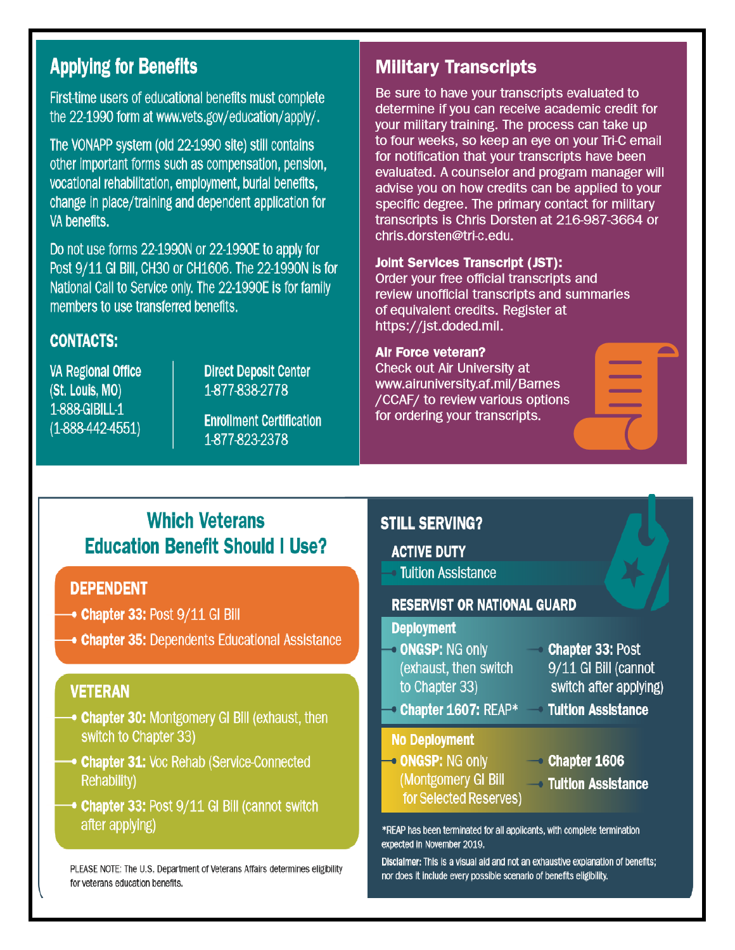# **Applying for Benefits**

First-time users of educational benefits must complete the 22-1990 form at www.vets.gov/education/apply/.

The VONAPP system (old 22-1990 site) still contains other important forms such as compensation, pension, vocational rehabilitation, employment, burial benefits, change in place/training and dependent application for VA benefits.

Do not use forms 22-1990N or 22-1990E to apply for Post 9/11 GI Bill, CH30 or CH1606. The 22-1990N is for National Call to Service only. The 22-1990E is for family members to use transferred benefits.

## **CONTACTS:**

**VA Regional Office** (St. Louis, MO) 1-888-GIBILL-1  $(1-888-442-4551)$ 

**Direct Deposit Center** 1-877-838-2778

**Enrollment Certification** 1-877-823-2378

# **Military Transcripts**

Be sure to have your transcripts evaluated to determine if you can receive academic credit for your military training. The process can take up to four weeks, so keep an eye on your Tri-C email for notification that your transcripts have been evaluated. A counselor and program manager will advise you on how credits can be applied to your specific degree. The primary contact for military transcripts is Chris Dorsten at 216-987-3664 or chris.dorsten@tri-c.edu.

#### **Joint Services Transcript (JST):**

Order your free official transcripts and review unofficial transcripts and summaries of equivalent credits. Register at https://jst.doded.mil.

#### **Air Force veteran?**

Check out Air University at www.airuniversity.af.mil/Barnes /CCAF/ to review various options for ordering your transcripts.

# **Which Veterans Education Benefit Should I Use?**

### **DEPENDENT**

- $\rightarrow$  Chapter 33: Post  $9/11$  GI Bill
- **Chapter 35: Dependents Educational Assistance**

## **VETERAN**

- **Chapter 30: Montgomery GI Bill (exhaust, then** switch to Chapter 33)
- **Chapter 31: Voc Rehab (Service-Connected Rehability)**
- → Chapter 33: Post 9/11 GI Bill (cannot switch after applying)

PLEASE NOTE: The U.S. Department of Veterans Affairs determines eligibility for veterans education benefits.

## **STILL SERVING?**

#### **ACTIVE DUTY**

**Tuition Assistance** 

#### **RESERVIST OR NATIONAL GUARD**

#### **Deployment**

- **ONGSP: NG only** (exhaust, then switch to Chapter 33)
- **Chapter 33: Post** 9/11 GI Bill (cannot switch after applying)
- **Chapter 1607: REAP\***

#### **No Deployment**

- ONGSP: NG only (Montgomery GI Bill for Selected Reserves)
- $\sim$  Chapter 1606

**Tultion Assistance** 

**→ Tuition Assistance** 

\*REAP has been terminated for all applicants, with complete termination expected in November 2019.

Disclaimer: This is a visual aid and not an exhaustive explanation of benefits; nor does it include every possible scenario of benefits eligibility.

 $\rightarrow$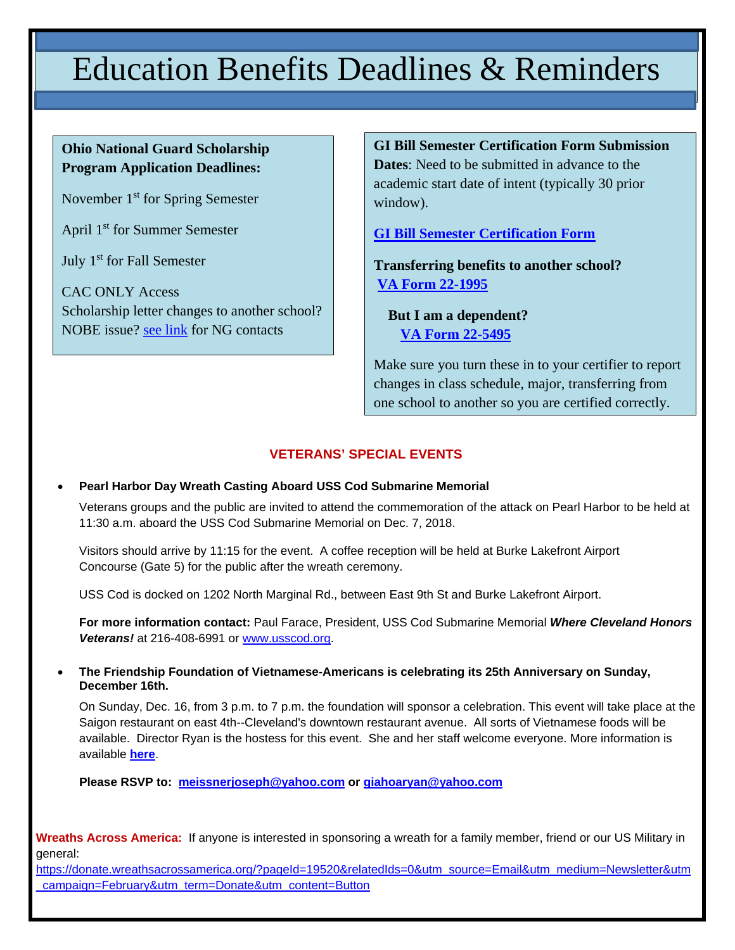# Education Benefits Deadlines & Reminders

### **Ohio National Guard Scholarship Program Application Deadlines:**

November 1<sup>st</sup> for Spring Semester

April 1st for Summer Semester

July 1<sup>st</sup> for Fall Semester

CAC ONLY Access Scholarship letter changes to another school? NOBE issue? [see link](http://www.tri-c.edu/veterans/documents/ohio-national-guard-information.pdf) for NG contacts

**GI Bill Semester Certification Form Submission Dates**: Need to be submitted in advance to the academic start date of intent (typically 30 prior window).

**[GI Bill Semester Certification Form](http://www.tri-c.edu/veterans/documents/gi-bill-semester-form-responsiblities-2017.pdf)**

**Transferring benefits to another school? [VA Form 22-1995](http://www.tri-c.edu/veterans/documents/vba-22-1995-are.pdf)**

 **But I am a dependent? [VA Form 22-5495](http://www.tri-c.edu/veterans/documents/vba-22-5495-are.pdf)**

Make sure you turn these in to your certifier to report changes in class schedule, major, transferring from one school to another so you are certified correctly.

#### **VETERANS' SPECIAL EVENTS**

#### • **Pearl Harbor Day Wreath Casting Aboard USS Cod Submarine Memorial**

Veterans groups and the public are invited to attend the commemoration of the attack on Pearl Harbor to be held at 11:30 a.m. aboard the USS Cod Submarine Memorial on Dec. 7, 2018.

Visitors should arrive by 11:15 for the event. A coffee reception will be held at Burke Lakefront Airport Concourse (Gate 5) for the public after the wreath ceremony.

USS Cod is docked on 1202 North Marginal Rd., between East 9th St and Burke Lakefront Airport.

**For more information contact:** Paul Farace, President, USS Cod Submarine Memorial *Where Cleveland Honors Veterans!* at 216-408-6991 or [www.usscod.org.](http://www.usscod.org/)

• **The Friendship Foundation of Vietnamese-Americans is celebrating its 25th Anniversary on Sunday, December 16th.** 

On Sunday, Dec. 16, from 3 p.m. to 7 p.m. the foundation will sponsor a celebration. This event will take place at the Saigon restaurant on east 4th--Cleveland's downtown restaurant avenue. All sorts of Vietnamese foods will be available. Director Ryan is the hostess for this event. She and her staff welcome everyone. More information is available **[here](https://clecityhall.files.wordpress.com/2018/11/vietnamese-american-friendship-25th-anniversary-celebration.jpg)**.

**Please RSVP to: [meissnerjoseph@yahoo.com](mailto:meissnerjoseph@yahoo.com) or [giahoaryan@yahoo.com](mailto:giahoaryan@yahoo.com)**

**Wreaths Across America:** If anyone is interested in sponsoring a wreath for a family member, friend or our US Military in general:

[https://donate.wreathsacrossamerica.org/?pageId=19520&relatedIds=0&utm\\_source=Email&utm\\_medium=Newsletter&utm](https://donate.wreathsacrossamerica.org/?pageId=19520&relatedIds=0&utm_source=Email&utm_medium=Newsletter&utm_campaign=February&utm_term=Donate&utm_content=Button) [\\_campaign=February&utm\\_term=Donate&utm\\_content=Button](https://donate.wreathsacrossamerica.org/?pageId=19520&relatedIds=0&utm_source=Email&utm_medium=Newsletter&utm_campaign=February&utm_term=Donate&utm_content=Button)